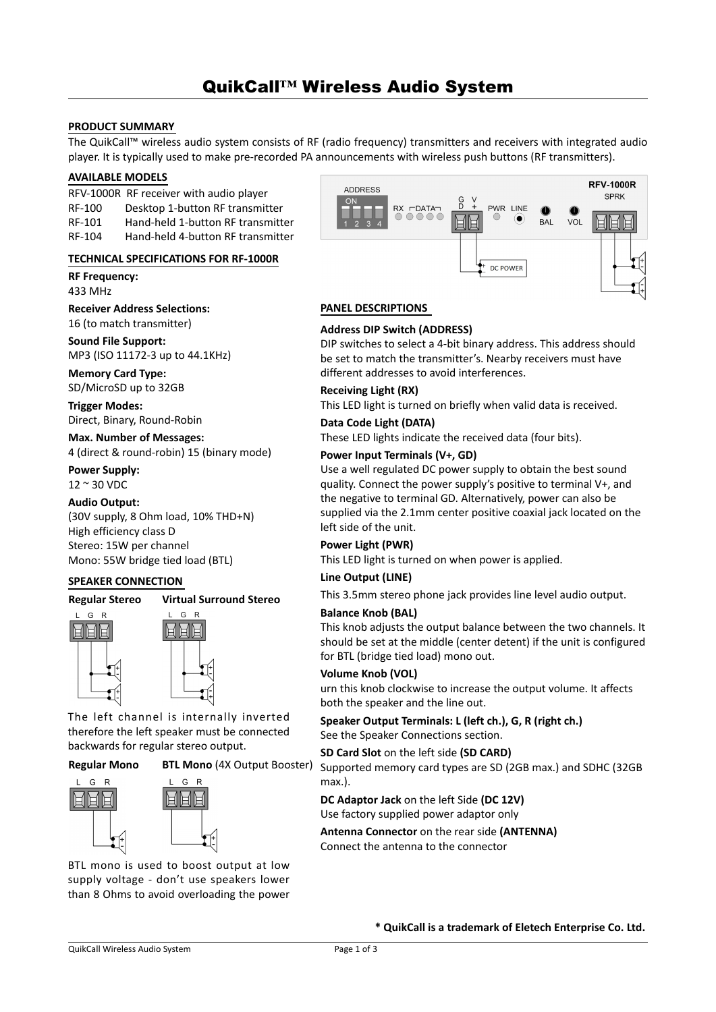# QuikCall**™** Wireless Audio System

## **PRODUCT SUMMARY**

The QuikCall™ wireless audio system consists of RF (radio frequency) transmitters and receivers with integrated audio player. It is typically used to make pre-recorded PA announcements with wireless push buttons (RF transmitters).

## **AVAILABLE MODELS**

RFV-1000R RF receiver with audio player RF-100 Desktop 1-button RF transmitter RF-101 Hand-held 1-button RF transmitter RF-104 Hand-held 4-button RF transmitter

### **TECHNICAL SPECIFICATIONS FOR RF-1000R**

**RF Frequency:**  433 MHz

**Receiver Address Selections:**  16 (to match transmitter)

**Sound File Support:** MP3 (ISO 11172-3 up to 44.1KHz)

**Memory Card Type:** SD/MicroSD up to 32GB

**Trigger Modes:** Direct, Binary, Round-Robin

**Max. Number of Messages:** 4 (direct & round-robin) 15 (binary mode)

**Power Supply:**  12 ~ 30 VDC

# **Audio Output:**

(30V supply, 8 Ohm load, 10% THD+N) High efficiency class D Stereo: 15W per channel Mono: 55W bridge tied load (BTL)

#### **SPEAKER CONNECTION**



#### **Virtual Surround Stereo** L G R





The left channel is internally inverted therefore the left speaker must be connected backwards for regular stereo output.

**Regular Mono**

**BTL Mono** (4X Output Booster)



BTL mono is used to boost output at low supply voltage - don't use speakers lower than 8 Ohms to avoid overloading the power



#### **PANEL DESCRIPTIONS**

#### **Address DIP Switch (ADDRESS)**

DIP switches to select a 4-bit binary address. This address should be set to match the transmitter's. Nearby receivers must have different addresses to avoid interferences.

#### **Receiving Light (RX)**

This LED light is turned on briefly when valid data is received.

#### **Data Code Light (DATA)**

These LED lights indicate the received data (four bits).

#### **Power Input Terminals (V+, GD)**

Use a well regulated DC power supply to obtain the best sound quality. Connect the power supply's positive to terminal V+, and the negative to terminal GD. Alternatively, power can also be supplied via the 2.1mm center positive coaxial jack located on the left side of the unit.

# **Power Light (PWR)**

This LED light is turned on when power is applied.

### **Line Output (LINE)**

This 3.5mm stereo phone jack provides line level audio output.

### **Balance Knob (BAL)**

This knob adjusts the output balance between the two channels. It should be set at the middle (center detent) if the unit is configured for BTL (bridge tied load) mono out.

### **Volume Knob (VOL)**

urn this knob clockwise to increase the output volume. It affects both the speaker and the line out.

### **Speaker Output Terminals: L (left ch.), G, R (right ch.)** See the Speaker Connections section.

#### **SD Card Slot** on the left side **(SD CARD)**

Supported memory card types are SD (2GB max.) and SDHC (32GB max.).

**DC Adaptor Jack** on the left Side **(DC 12V)** Use factory supplied power adaptor only

**Antenna Connector** on the rear side **(ANTENNA)** Connect the antenna to the connector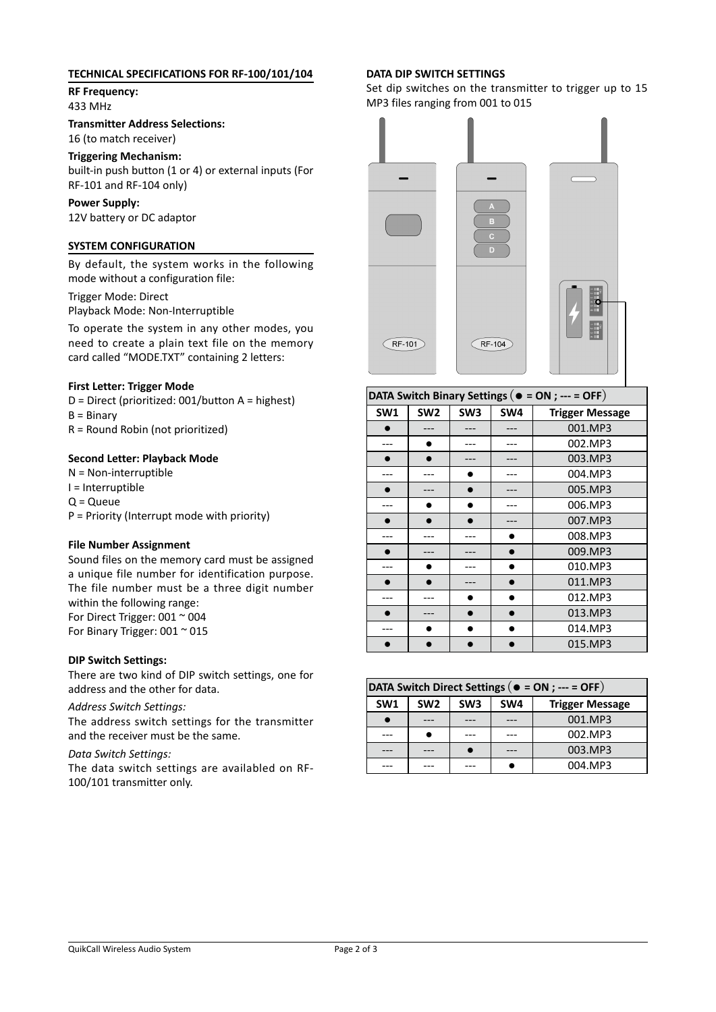# **TECHNICAL SPECIFICATIONS FOR RF-100/101/104**

**RF Frequency:**  433 MHz

**Transmitter Address Selections:**  16 (to match receiver)

# **Triggering Mechanism:**

built-in push button (1 or 4) or external inputs (For RF-101 and RF-104 only)

# **Power Supply:**

12V battery or DC adaptor

# **SYSTEM CONFIGURATION**

By default, the system works in the following mode without a configuration file:

Trigger Mode: Direct Playback Mode: Non-Interruptible

To operate the system in any other modes, you need to create a plain text file on the memory card called "MODE.TXT" containing 2 letters:

# **First Letter: Trigger Mode**

D = Direct (prioritized: 001/button A = highest)  $B = Binary$ R = Round Robin (not prioritized)

# **Second Letter: Playback Mode**

N = Non-interruptible I = Interruptible  $Q = Q$ ueue P = Priority (Interrupt mode with priority)

## **File Number Assignment**

Sound files on the memory card must be assigned a unique file number for identification purpose. The file number must be a three digit number within the following range: For Direct Trigger: 001 ~ 004 For Binary Trigger: 001 ~ 015

### **DIP Switch Settings:**

There are two kind of DIP switch settings, one for address and the other for data.

### *Address Switch Settings:*

The address switch settings for the transmitter and the receiver must be the same.

### *Data Switch Settings:*

The data switch settings are availabled on RF-100/101 transmitter only.

## **DATA DIP SWITCH SETTINGS**

Set dip switches on the transmitter to trigger up to 15 MP3 files ranging from 001 to 015



| DATA Switch Binary Settings ( $\bullet$ = ON ; --- = OFF) |                 |                 |     |                        |  |
|-----------------------------------------------------------|-----------------|-----------------|-----|------------------------|--|
| SW1                                                       | SW <sub>2</sub> | SW <sub>3</sub> | SW4 | <b>Trigger Message</b> |  |
|                                                           |                 |                 |     | 001.MP3                |  |
|                                                           |                 |                 |     | 002.MP3                |  |
|                                                           |                 |                 |     | 003.MP3                |  |
|                                                           |                 |                 |     | 004.MP3                |  |
|                                                           |                 |                 |     | 005.MP3                |  |
|                                                           |                 |                 |     | 006.MP3                |  |
|                                                           |                 |                 |     | 007.MP3                |  |
|                                                           |                 |                 |     | 008.MP3                |  |
|                                                           |                 |                 |     | 009.MP3                |  |
|                                                           |                 |                 |     | 010.MP3                |  |
|                                                           |                 |                 |     | 011.MP3                |  |
|                                                           |                 |                 |     | 012.MP3                |  |
|                                                           |                 |                 |     | 013.MP3                |  |
|                                                           |                 |                 |     | 014.MP3                |  |
|                                                           |                 |                 |     | 015.MP3                |  |

| DATA Switch Direct Settings ( $\bullet$ = ON ; --- = OFF) |                 |                 |                 |                        |  |  |
|-----------------------------------------------------------|-----------------|-----------------|-----------------|------------------------|--|--|
| SW <sub>1</sub>                                           | SW <sub>2</sub> | SW <sub>3</sub> | SW <sub>4</sub> | <b>Trigger Message</b> |  |  |
|                                                           |                 |                 |                 | 001.MP3                |  |  |
|                                                           |                 |                 |                 | 002.MP3                |  |  |
|                                                           |                 |                 |                 | 003.MP3                |  |  |
|                                                           |                 | --              |                 | 004.MP3                |  |  |